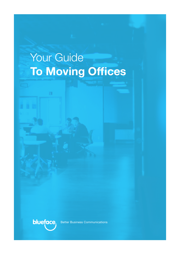# Your Guide **To Moving Offices**



Better Business Communications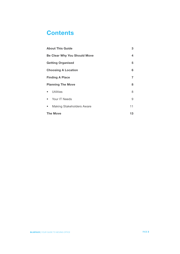# **Contents**

| <b>About This Guide</b>                       |    |  |
|-----------------------------------------------|----|--|
| <b>Be Clear Why You Should Move</b>           |    |  |
| <b>Getting Organised</b>                      |    |  |
| <b>Choosing A Location</b>                    |    |  |
| <b>Finding A Place</b>                        |    |  |
| <b>Planning The Move</b>                      |    |  |
| Utilities<br>$\bullet$                        | 8  |  |
| Your IT Needs<br>$\bullet$                    | 9  |  |
| <b>Making Stakeholders Aware</b><br>$\bullet$ | 11 |  |
| <b>The Move</b>                               |    |  |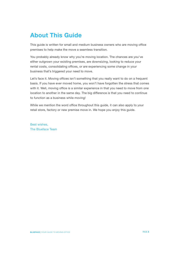# <span id="page-2-0"></span>**About This Guide**

This guide is written for small and medium business owners who are moving office premises to help make the move a seamless transition.

You probably already know why you're moving location. The chances are you've either outgrown your existing premises, are downsizing, looking to reduce your rental costs, consolidating offices, or are experiencing some change in your business that's triggered your need to move.

Let's face it. Moving offices isn't something that you really want to do on a frequent basis. If you have ever moved home, you won't have forgotten the stress that comes with it. Well, moving office is a similar experience in that you need to move from one location to another in the same day. The big difference is that you need to continue to function as a business while moving!

While we mention the word office throughout this guide, it can also apply to your retail store, factory or new premise move in. We hope you enjoy this guide.

Best wishes, The Blueface Team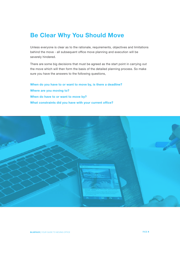# <span id="page-3-0"></span>**Be Clear Why You Should Move**

Unless everyone is clear as to the rationale, requirements, objectives and limitations behind the move - all subsequent office move planning and execution will be severely hindered.

There are some big decisions that must be agreed as the start point in carrying out the move which will then form the basis of the detailed planning process. So make sure you have the answers to the following questions,

**When do you have to or want to move by, is there a deadline? Where are you moving to? When do have to or want to move by? What constraints did you have with your current office?**

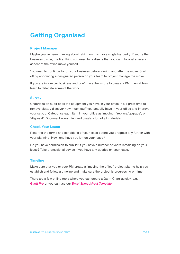# <span id="page-4-0"></span>**Getting Organised**

# **Project Manager**

Maybe you've been thinking about taking on this move single handedly. If you're the business owner, the first thing you need to realise is that you can't look after every aspect of the office move yourself.

You need to continue to run your business before, during and after the move. Start off by appointing a designated person on your team to project manage the move.

If you are in a micro business and don't have the luxury to create a PM, then at least learn to delegate some of the work.

### **Survey**

Undertake an audit of all the equipment you have in your office. It's a great time to remove clutter, discover how much stuff you actually have in your office and improve your set-up. Categorise each item in your office as 'moving', 'replace/upgrade', or 'disposal'. Document everything and create a log of all materials.

### **Check Your Lease**

Read the the terms and conditions of your lease before you progress any further with your planning. How long have you left on your lease?

Do you have permission to sub-let if you have a number of years remaining on your lease? Take professional advice if you have any queries on your lease.

## **Timeline**

Make sure that you or your PM create a "moving the office" project plan to help you establish and follow a timeline and make sure the project is progressing on time.

There are a few online tools where you can create a Gantt Chart quickly, e.g. *[Gantt Pro](https://ganttpro.com/)* or you can use our *[Excel Spreadsheet Template](https://www.blueface.com/wp-content/uploads/2017/02/Moving-the-office-project-plan.xlsx)*.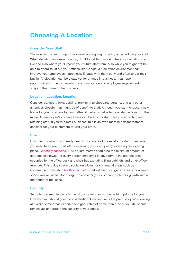# <span id="page-5-0"></span>**Choosing A Location**

### **Consider Your Staff**

The most important group of people who are going to be impacted will be your staff. When deciding on a new location, don't forget to consider where your existing staff live and also where you'll recruit your future staff from. Also while you might not be able to afford to kit out your offices like Google, a nice office environment can improve your employees' happiness. Engage with them early and often to get their buy in. A relocation can be a catalyst for change in business, it can open opportunities for new channels of communication and employee engagement in shaping the future of the business.

#### **Location, Location, Location**

Consider transport links, parking, proximity to shops/restaurants, and any other amenities closeby that might be of benefit to staff. Although you can't choose a new home for your business by committee, it certainly helps to have staff in favour of the move. An employee's commute time can be an important factor in attracting and retaining staff. If you're a retail business, this is an even more important factor to consider for your customers to visit your store.

#### **Size**

How much space do you really need? This is one of the most important questions you need to answer. Start off by reviewing your occupancy levels in your existing place. *[Generally speaking](http://www.hsa.ie/eng/Archived_Material/FAQs/Workplace_Conditions/)*, 4.65 square metres should be the minimum amount of floor space allowed for every person employed in any room to include the area occupied by the office desk and chair but excluding filing cabinets and other office furniture. This office space calculation allows for communal areas such as conference rooms etc. *Use this calculator* [that will help you get an idea of how much](https://www.blueface.com/wp-content/uploads/2017/02/Office-Space-Calculator.xlsx)  [space you will need.](https://www.blueface.com/wp-content/uploads/2017/02/Office-Space-Calculator.xlsx) Don't forget to consider your company's plan for growth within the period of the lease.

#### **Security**

Security is something which may slip your mind or not be be high priority for you. However you should give it consideration. How secure is the premises you're looking at? While some areas experience higher rates of crime than others, you still should remain vigilant around the security of your office.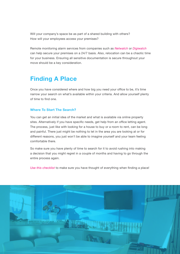<span id="page-6-0"></span>Will your company's space be as part of a shared building with others? How will your employees access your premises?

Remote monitoring alarm services from companies such as *[Netwatch](https://netwatchsystem.com)* or *[Digiwatch](http://www.digiwatch.ie)*  can help secure your premises on a 24/7 basis. Also, relocation can be a chaotic time for your business. Ensuring all sensitive documentation is secure throughout your move should be a key consideration.

# **Finding A Place**

Once you have considered where and how big you need your office to be, it's time narrow your search on what's available within your criteria. And allow yourself plenty of time to find one.

## **Where To Start The Search?**

You can get an initial idea of the market and what is available via online property sites. Alternatively if you have specific needs, get help from an office letting agent. The process, just like with looking for a house to buy or a room to rent, can be long and painful. There just might be nothing to let in the area you are looking at or for different reasons, you just won't be able to imagine yourself and your team feeling comfortable there.

So make sure you have plenty of time to search for it to avoid rushing into making a decision that you might regret in a couple of months and having to go through the entire process again.

*Use this checklist* [to make sure you have thought of everything when finding a place!](https://www.blueface.com/wp-content/uploads/2017/03/Operational-objectivescheck-list.pdf)

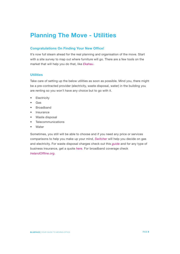# <span id="page-7-0"></span>**Planning The Move - Utilities**

# **Congratulations On Finding Your New Office!**

It's now full steam ahead for the real planning and organisation of the move. Start with a site survey to map out where furniture will go. There are a few tools on the market that will help you do that, like *[Ekahau](http://www.ekahau.com/)*.

### **Utilities**

Take care of setting up the below utilities as soon as possible. Mind you, there might be a pre-contracted provider (electricity, waste disposal, water) in the building you are renting so you won't have any choice but to go with it.

- **Electricity**
- Gas
- **Broadband**
- **Insurance**
- Waste disposal
- **Telecommunications**
- **Water**

Sometimes, you still will be able to choose and if you need any price or services comparisons to help you make up your mind, *[Switcher](https://switcher.ie/)* will help you decide on gas and electricity. For waste disposal charges check out this *g[uide](http://www.moneyguideireland.com/bin-charges.html)* and for any type of business insurance, get a quote *[here](https://www.chill.ie/business-insurance/)*. For broadband coverage check *[IrelandOffline.org](http://irelandoffline.org/map/#/map)*.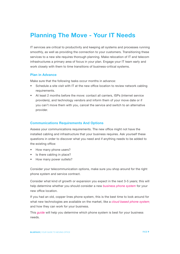# <span id="page-8-0"></span>**Planning The Move - Your IT Needs**

IT services are critical to productivity and keeping all systems and processes running smoothly, as well as providing the connection to your customers. Transitioning these services to a new site requires thorough planning. Make relocation of IT and telecom infrastructures a primary area of focus in your plan. Engage your IT team early and work closely with them to time transitions of business-critical systems.

### **Plan in Advance**

Make sure that the following tasks occur months in advance:

- Schedule a site visit with IT at the new office location to review network cabling requirements.
- At least 2 months before the move: contact all carriers, ISPs (internet service providers), and technology vendors and inform them of your move date or if you can't move them with you, cancel the service and switch to an alternative provider.

#### **Communications Requirements And Options**

Assess your communications requirements. The new office might not have the installed cabling and infrastructure that your business requires. Ask yourself these questions in order to discover what you need and if anything needs to be added to the existing office:

- How many phone users?
- Is there cabling in place?
- How many power outlets?

Consider your telecommunication options, make sure you shop around for the right phone system and service contract.

Consider what kind of growth or expansion you expect in the next 3-5 years; this will help determine whether you should consider a new *[business phone system](https://www.blueface.com/)* for your new office location.

If you had an old, copper lines phone system, this is the best time to look around for what new technologies are available on the market, like a *[cloud based phone system](https://www.blueface.com/)* and how they can work for your business.

This *guide* [will help you determine which phone system](https://www.blueface.com/how-to-choose-the-right-phone-system-for-your-business/) is best for your business needs.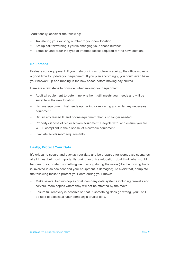Additionally, consider the following:

- Transfering your existing number to your new location.
- Set up call forwarding if you're changing your phone number.
- Establish and order the type of internet access required for the new location.

#### **Equipment**

Evaluate your equipment. If your network infrastructure is ageing, the office move is a good time to update your equipment. If you plan accordingly, you could even have your network up and running in the new space before moving day arrives.

Here are a few steps to consider when moving your equipment:

- Audit all equipment to determine whether it still meets your needs and will be suitable in the new location.
- List any equipment that needs upgrading or replacing and order any necessary equipment.
- Return any leased IT and phone equipment that is no longer needed.
- Properly dispose of old or broken equipment. Recycle with and ensure you are WEEE compliant in the disposal of electronic equipment.
- Evaluate server room requirements.

#### **Lastly, Protect Your Data**

It's critical to secure and backup your data and be prepared for worst case scenarios at all times, but most importantly during an office relocation. Just think what would happen to your data if something went wrong during the move (like the moving truck is involved in an accident and your equipment is damaged). To avoid that, complete the following tasks to protect your data during your move:

- Make several backup copies of all company data systems including firewalls and servers, store copies where they will not be affected by the move.
- Ensure full recovery is possible so that, if something does go wrong, you'll still be able to access all your company's crucial data.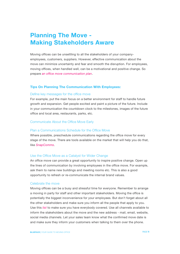# <span id="page-10-0"></span>**Planning The Move - Making Stakeholders Aware**

Moving offices can be unsettling to all the stakeholders of your companyemployees, customers, suppliers. However, effective communication about the move can minimize uncertainty and fear and smooth the disruption. For employees, moving offices, when handled well, can be a motivational and positive change. So prepare *an office [move communication plan](https://www.blueface.com/wp-content/uploads/2017/03/Office-move-communication-plan.pdf)*.

#### **Tips On Planning The Communication With Employees:**

#### Define key messages for the office move

For example, put the main focus on a better environment for staff to handle future growth and expansion. Get people excited and paint a picture of the future. Include in your communication the countdown clock to the milestones, images of the future office and local area, restaurants, parks, etc.

#### Communicate About the Office Move Early

#### Plan a Communications Schedule for the Office Move

Where possible, preschedule communications regarding the office move for every stage of the move. There are tools available on the market that will help you do that, like *[SnapComms](http://www.snapcomms.com/solutions/office-move-communication)*.

#### Use the Office Move as a Catalyst for Wider Change

An office move can provide a great opportunity to inspire positive change. Open up the lines of communication by involving employees in the office move. For example, ask them to name new buildings and meeting rooms etc. This is also a good opportunity to refresh or re-communicate the internal brand values.

#### Celebrate the move

Moving offices can be a busy and stressful time for everyone. Remember to arrange a moving in party for staff and other important stakeholders. Moving the office is potentially the biggest inconvenience for your employees. But don't forget about all the other stakeholders and make sure you inform all the people that apply to you. Use this *[list](https://www.blueface.com/wp-content/uploads/2017/03/Change-of-Address-Checklist.pdf)* to make sure you have everybody covered. Use all channels available to inform the stakeholders about the move and the new address - mail, email, website, social media channels. Let your sales team know what the confirmed move date is and make sure they inform your customers when talking to them over the phone.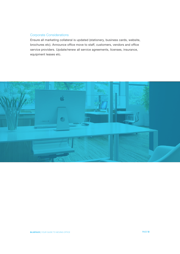# Corporate Considerations

Ensure all marketing collateral is updated (stationery, business cards, website, brochures etc). Announce office move to staff, customers, vendors and office service providers. Update/renew all service agreements, licenses, insurance, equipment leases etc.

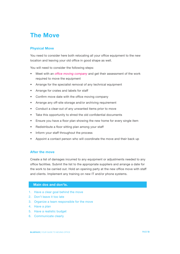# <span id="page-12-0"></span>**The Move**

### **Physical Move**

You need to consider here both relocating all your office equipment to the new location and leaving your old office in good shape as well.

You will need to consider the following steps:

- Meet with an *[office moving company](http://www.jit.ie/)* and get their assessment of the work required to move the equipment
- Arrange for the specialist removal of any technical equipment
- Arrange for crates and labels for staff
- Confirm move date with the office moving company
- Arrange any off-site storage and/or archiving requirement
- Conduct a clear-out of any unwanted items prior to move
- Take this opportunity to shred the old confidential documents
- Ensure you have a floor plan showing the new home for every single item
- Redistribute a floor sitting plan among your staff
- Inform your staff throughout the process
- Appoint a contact person who will coordinate the move and their back up

### **After the move**

Create a list of damages incurred to any equipment or adjustments needed to any office facilities. Submit the list to the appropriate suppliers and arrange a date for the work to be carried out. Hold an opening party at the new office move with staff and clients. Implement any training on new IT and/or phone systems.

#### **Main dos and don'ts.**

- 1. Have a clear goal behind the move
- 2. Don't leave it too late
- 3. Organize a team responsible for the move
- 4. Have a plan
- 5. Have a realistic budget
- 6. Communicate clearly